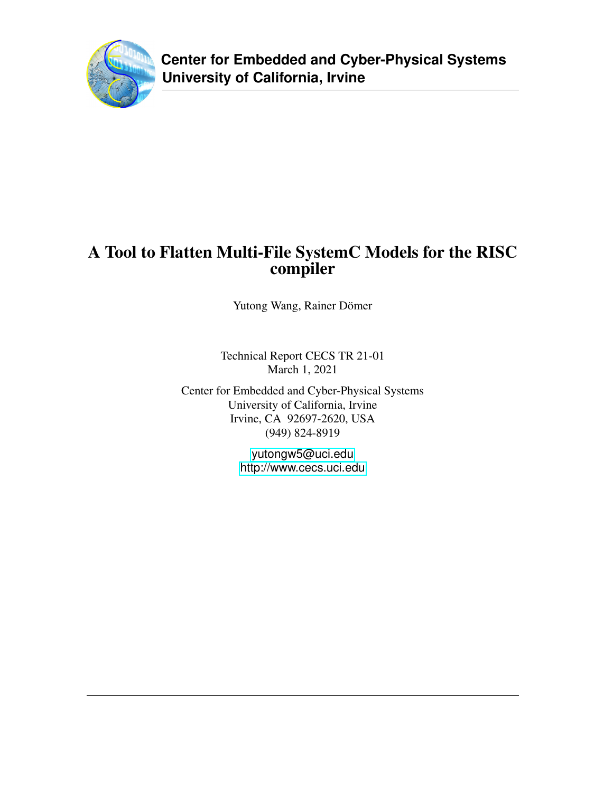

# A Tool to Flatten Multi-File SystemC Models for the RISC compiler

Yutong Wang, Rainer Dömer

Technical Report CECS TR 21-01 March 1, 2021

Center for Embedded and Cyber-Physical Systems University of California, Irvine Irvine, CA 92697-2620, USA (949) 824-8919

> <yutongw5@uci.edu> <http://www.cecs.uci.edu>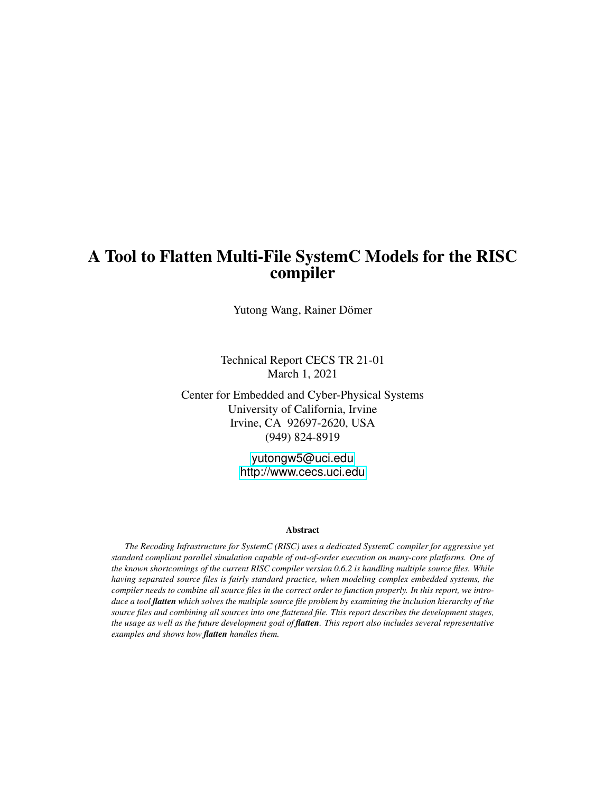# A Tool to Flatten Multi-File SystemC Models for the RISC compiler

Yutong Wang, Rainer Dömer

Technical Report CECS TR 21-01 March 1, 2021

Center for Embedded and Cyber-Physical Systems University of California, Irvine Irvine, CA 92697-2620, USA (949) 824-8919

> <yutongw5@uci.edu> <http://www.cecs.uci.edu>

#### Abstract

*The Recoding Infrastructure for SystemC (RISC) uses a dedicated SystemC compiler for aggressive yet standard compliant parallel simulation capable of out-of-order execution on many-core platforms. One of the known shortcomings of the current RISC compiler version 0.6.2 is handling multiple source files. While having separated source files is fairly standard practice, when modeling complex embedded systems, the compiler needs to combine all source files in the correct order to function properly. In this report, we introduce a tool flatten which solves the multiple source file problem by examining the inclusion hierarchy of the source files and combining all sources into one flattened file. This report describes the development stages, the usage as well as the future development goal of flatten. This report also includes several representative examples and shows how flatten handles them.*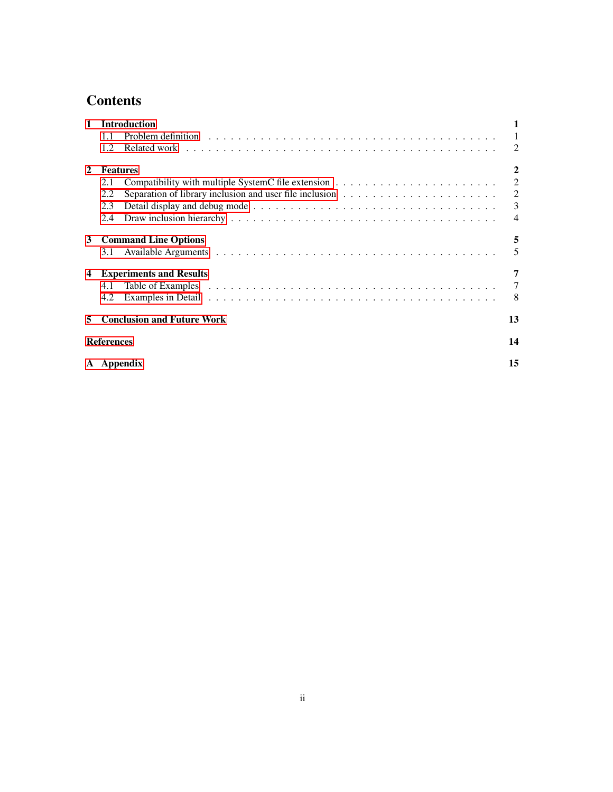# **Contents**

| $\mathbf{1}$   | <b>Introduction</b>                                                                                        |                |  |  |  |  |  |  |  |
|----------------|------------------------------------------------------------------------------------------------------------|----------------|--|--|--|--|--|--|--|
|                | 1.1                                                                                                        |                |  |  |  |  |  |  |  |
|                | 1.2.                                                                                                       | $\mathcal{L}$  |  |  |  |  |  |  |  |
| $\mathbf{2}$   | <b>Features</b>                                                                                            |                |  |  |  |  |  |  |  |
|                | 2.1                                                                                                        | 2              |  |  |  |  |  |  |  |
|                | Separation of library inclusion and user file inclusion $\dots \dots \dots \dots \dots \dots \dots$<br>2.2 | 2              |  |  |  |  |  |  |  |
|                | 2.3                                                                                                        | 3              |  |  |  |  |  |  |  |
|                | 2.4                                                                                                        | $\overline{4}$ |  |  |  |  |  |  |  |
| 3              | <b>Command Line Options</b>                                                                                |                |  |  |  |  |  |  |  |
|                | 3.1                                                                                                        | 5              |  |  |  |  |  |  |  |
| $\overline{4}$ | <b>Experiments and Results</b>                                                                             |                |  |  |  |  |  |  |  |
|                | 4.1                                                                                                        | 7              |  |  |  |  |  |  |  |
|                | 4.2                                                                                                        | 8              |  |  |  |  |  |  |  |
| 5              | <b>Conclusion and Future Work</b>                                                                          |                |  |  |  |  |  |  |  |
|                | <b>References</b>                                                                                          |                |  |  |  |  |  |  |  |
|                | A Appendix                                                                                                 |                |  |  |  |  |  |  |  |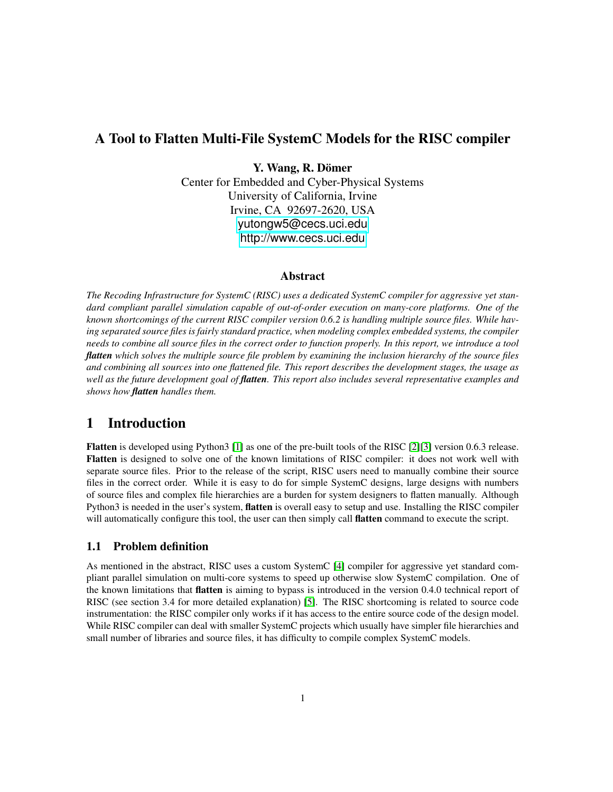# A Tool to Flatten Multi-File SystemC Models for the RISC compiler

Y. Wang, R. Dömer

Center for Embedded and Cyber-Physical Systems University of California, Irvine Irvine, CA 92697-2620, USA <yutongw5@cecs.uci.edu> <http://www.cecs.uci.edu>

#### Abstract

*The Recoding Infrastructure for SystemC (RISC) uses a dedicated SystemC compiler for aggressive yet standard compliant parallel simulation capable of out-of-order execution on many-core platforms. One of the known shortcomings of the current RISC compiler version 0.6.2 is handling multiple source files. While having separated source files is fairly standard practice, when modeling complex embedded systems, the compiler needs to combine all source files in the correct order to function properly. In this report, we introduce a tool flatten which solves the multiple source file problem by examining the inclusion hierarchy of the source files and combining all sources into one flattened file. This report describes the development stages, the usage as well as the future development goal of flatten. This report also includes several representative examples and shows how flatten handles them.*

# <span id="page-3-0"></span>1 Introduction

Flatten is developed using Python3 [\[1\]](#page-16-1) as one of the pre-built tools of the RISC [\[2\]](#page-16-2)[\[3\]](#page-16-3) version 0.6.3 release. Flatten is designed to solve one of the known limitations of RISC compiler: it does not work well with separate source files. Prior to the release of the script, RISC users need to manually combine their source files in the correct order. While it is easy to do for simple SystemC designs, large designs with numbers of source files and complex file hierarchies are a burden for system designers to flatten manually. Although Python3 is needed in the user's system, flatten is overall easy to setup and use. Installing the RISC compiler will automatically configure this tool, the user can then simply call **flatten** command to execute the script.

## <span id="page-3-1"></span>1.1 Problem definition

As mentioned in the abstract, RISC uses a custom SystemC [\[4\]](#page-16-4) compiler for aggressive yet standard compliant parallel simulation on multi-core systems to speed up otherwise slow SystemC compilation. One of the known limitations that flatten is aiming to bypass is introduced in the version 0.4.0 technical report of RISC (see section 3.4 for more detailed explanation) [\[5\]](#page-16-5). The RISC shortcoming is related to source code instrumentation: the RISC compiler only works if it has access to the entire source code of the design model. While RISC compiler can deal with smaller SystemC projects which usually have simpler file hierarchies and small number of libraries and source files, it has difficulty to compile complex SystemC models.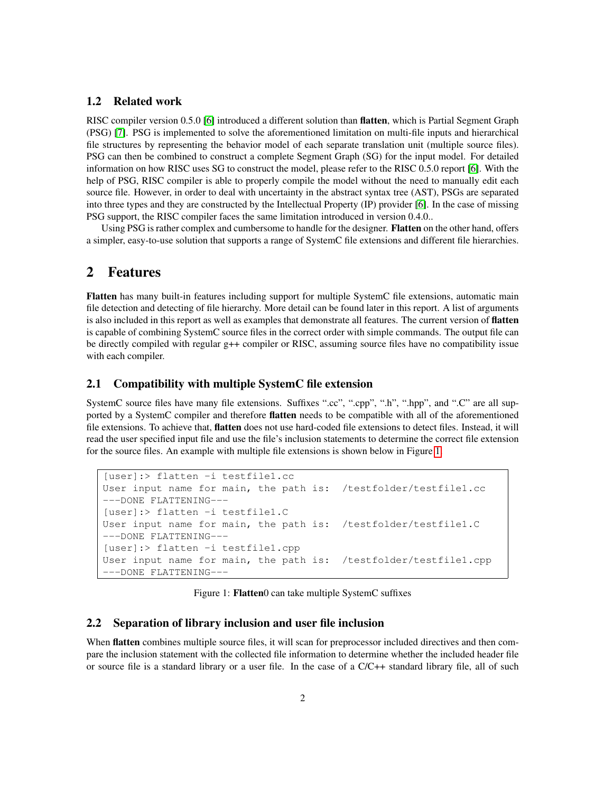### <span id="page-4-0"></span>1.2 Related work

RISC compiler version 0.5.0 [\[6\]](#page-16-6) introduced a different solution than flatten, which is Partial Segment Graph (PSG) [\[7\]](#page-16-7). PSG is implemented to solve the aforementioned limitation on multi-file inputs and hierarchical file structures by representing the behavior model of each separate translation unit (multiple source files). PSG can then be combined to construct a complete Segment Graph (SG) for the input model. For detailed information on how RISC uses SG to construct the model, please refer to the RISC 0.5.0 report [\[6\]](#page-16-6). With the help of PSG, RISC compiler is able to properly compile the model without the need to manually edit each source file. However, in order to deal with uncertainty in the abstract syntax tree (AST), PSGs are separated into three types and they are constructed by the Intellectual Property (IP) provider [\[6\]](#page-16-6). In the case of missing PSG support, the RISC compiler faces the same limitation introduced in version 0.4.0..

Using PSG is rather complex and cumbersome to handle for the designer. Flatten on the other hand, offers a simpler, easy-to-use solution that supports a range of SystemC file extensions and different file hierarchies.

## <span id="page-4-1"></span>2 Features

Flatten has many built-in features including support for multiple SystemC file extensions, automatic main file detection and detecting of file hierarchy. More detail can be found later in this report. A list of arguments is also included in this report as well as examples that demonstrate all features. The current version of **flatten** is capable of combining SystemC source files in the correct order with simple commands. The output file can be directly compiled with regular g++ compiler or RISC, assuming source files have no compatibility issue with each compiler.

### <span id="page-4-2"></span>2.1 Compatibility with multiple SystemC file extension

SystemC source files have many file extensions. Suffixes ".cc", ".cpp", ".h", ".hpp", and ".C" are all supported by a SystemC compiler and therefore flatten needs to be compatible with all of the aforementioned file extensions. To achieve that, flatten does not use hard-coded file extensions to detect files. Instead, it will read the user specified input file and use the file's inclusion statements to determine the correct file extension for the source files. An example with multiple file extensions is shown below in Figure [1.](#page-4-4)

```
[user]:> flatten -i testfile1.cc
User input name for main, the path is: /testfolder/testfile1.cc
---DONE FLATTENING---
[user]:> flatten -i testfile1.C
User input name for main, the path is: /testfolder/testfile1.C
---DONE FLATTENING---
[user]:> flatten -i testfile1.cpp
User input name for main, the path is: /testfolder/testfile1.cpp
---DONE FLATTENING---
```
<span id="page-4-4"></span>Figure 1: Flatten0 can take multiple SystemC suffixes

### <span id="page-4-3"></span>2.2 Separation of library inclusion and user file inclusion

When **flatten** combines multiple source files, it will scan for preprocessor included directives and then compare the inclusion statement with the collected file information to determine whether the included header file or source file is a standard library or a user file. In the case of a C/C++ standard library file, all of such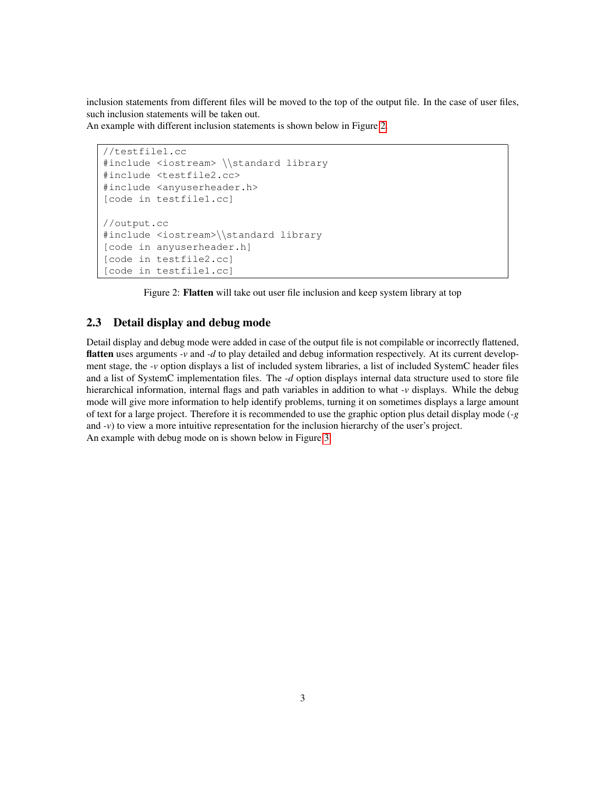inclusion statements from different files will be moved to the top of the output file. In the case of user files, such inclusion statements will be taken out.

An example with different inclusion statements is shown below in Figure [2.](#page-5-1)

```
//testfile1.cc
#include <iostream> \\standard library
#include <testfile2.cc>
#include <anyuserheader.h>
[code in testfile1.cc]
//output.cc
#include <iostream>\\standard library
[code in anyuserheader.h]
[code in testfile2.cc]
[code in testfile1.cc]
```
<span id="page-5-1"></span>Figure 2: Flatten will take out user file inclusion and keep system library at top

### <span id="page-5-0"></span>2.3 Detail display and debug mode

Detail display and debug mode were added in case of the output file is not compilable or incorrectly flattened, flatten uses arguments *-v* and *-d* to play detailed and debug information respectively. At its current development stage, the *-v* option displays a list of included system libraries, a list of included SystemC header files and a list of SystemC implementation files. The *-d* option displays internal data structure used to store file hierarchical information, internal flags and path variables in addition to what *-v* displays. While the debug mode will give more information to help identify problems, turning it on sometimes displays a large amount of text for a large project. Therefore it is recommended to use the graphic option plus detail display mode (*-g* and *-v*) to view a more intuitive representation for the inclusion hierarchy of the user's project. An example with debug mode on is shown below in Figure [3.](#page-6-1)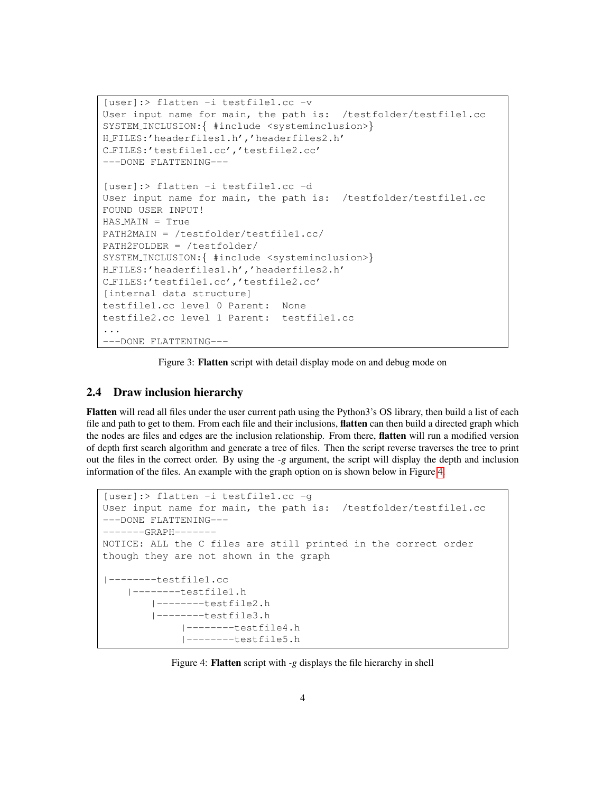```
[user]:> flatten -i testfile1.cc -v
User input name for main, the path is: /testfolder/testfile1.cc
SYSTEM_INCLUSION: { #include <systeminclusion>}
H FILES:'headerfiles1.h','headerfiles2.h'
C FILES:'testfile1.cc','testfile2.cc'
---DONE FLATTENING---
[user]:> flatten -i testfile1.cc -d
User input name for main, the path is: /testfolder/testfile1.cc
FOUND USER INPUT!
HAS MAIN = True
PATH2MAIN = /testfolder/testfile1.cc/
PATH2FOLDER = /testfolder/
SYSTEM_INCLUSION: { #include <systeminclusion>}
H FILES:'headerfiles1.h','headerfiles2.h'
C FILES:'testfile1.cc','testfile2.cc'
[internal data structure]
testfile1.cc level 0 Parent: None
testfile2.cc level 1 Parent: testfile1.cc
...
---DONE FLATTENING---
```
<span id="page-6-1"></span>Figure 3: Flatten script with detail display mode on and debug mode on

### <span id="page-6-0"></span>2.4 Draw inclusion hierarchy

Flatten will read all files under the user current path using the Python3's OS library, then build a list of each file and path to get to them. From each file and their inclusions, flatten can then build a directed graph which the nodes are files and edges are the inclusion relationship. From there, flatten will run a modified version of depth first search algorithm and generate a tree of files. Then the script reverse traverses the tree to print out the files in the correct order. By using the *-g* argument, the script will display the depth and inclusion information of the files. An example with the graph option on is shown below in Figure [4.](#page-6-2)

```
[user]:> flatten -i testfile1.cc -g
User input name for main, the path is: /testfolder/testfile1.cc
---DONE FLATTENING---
-------GRAPH-------
NOTICE: ALL the C files are still printed in the correct order
though they are not shown in the graph
|--------testfile1.cc
   |--------testfile1.h
        |--------testfile2.h
        |--------testfile3.h
             |--------testfile4.h
             |--------testfile5.h
```
<span id="page-6-2"></span>Figure 4: Flatten script with *-g* displays the file hierarchy in shell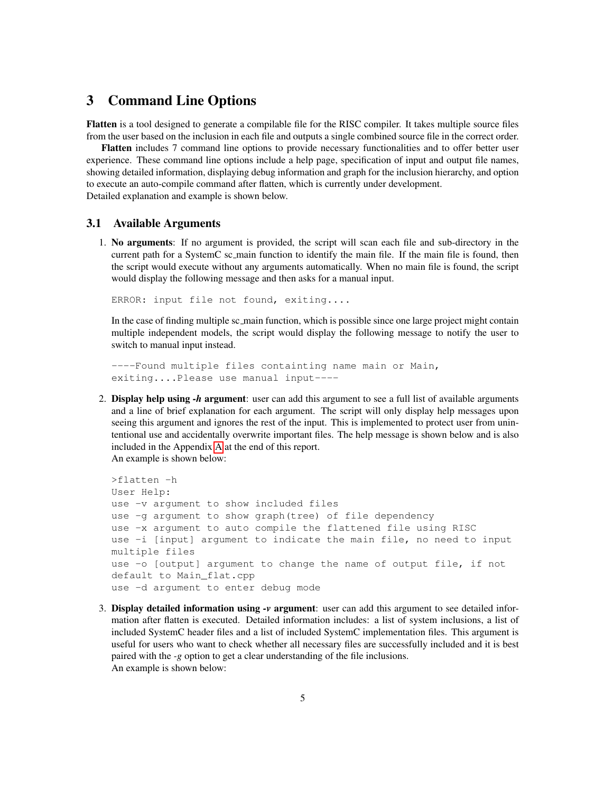## <span id="page-7-0"></span>3 Command Line Options

Flatten is a tool designed to generate a compilable file for the RISC compiler. It takes multiple source files from the user based on the inclusion in each file and outputs a single combined source file in the correct order.

Flatten includes 7 command line options to provide necessary functionalities and to offer better user experience. These command line options include a help page, specification of input and output file names, showing detailed information, displaying debug information and graph for the inclusion hierarchy, and option to execute an auto-compile command after flatten, which is currently under development. Detailed explanation and example is shown below.

#### <span id="page-7-1"></span>3.1 Available Arguments

1. No arguments: If no argument is provided, the script will scan each file and sub-directory in the current path for a SystemC sc main function to identify the main file. If the main file is found, then the script would execute without any arguments automatically. When no main file is found, the script would display the following message and then asks for a manual input.

ERROR: input file not found, exiting....

In the case of finding multiple sc main function, which is possible since one large project might contain multiple independent models, the script would display the following message to notify the user to switch to manual input instead.

----Found multiple files containting name main or Main, exiting....Please use manual input----

2. Display help using *-h* argument: user can add this argument to see a full list of available arguments and a line of brief explanation for each argument. The script will only display help messages upon seeing this argument and ignores the rest of the input. This is implemented to protect user from unintentional use and accidentally overwrite important files. The help message is shown below and is also included in the Appendix [A](#page-17-0) at the end of this report. An example is shown below:

```
>flatten -h
User Help:
use -v argument to show included files
use -g argument to show graph(tree) of file dependency
use -x argument to auto compile the flattened file using RISC
use -i [input] argument to indicate the main file, no need to input
multiple files
use -o [output] argument to change the name of output file, if not
default to Main_flat.cpp
use -d argument to enter debug mode
```
3. Display detailed information using *-v* argument: user can add this argument to see detailed information after flatten is executed. Detailed information includes: a list of system inclusions, a list of included SystemC header files and a list of included SystemC implementation files. This argument is useful for users who want to check whether all necessary files are successfully included and it is best paired with the *-g* option to get a clear understanding of the file inclusions. An example is shown below: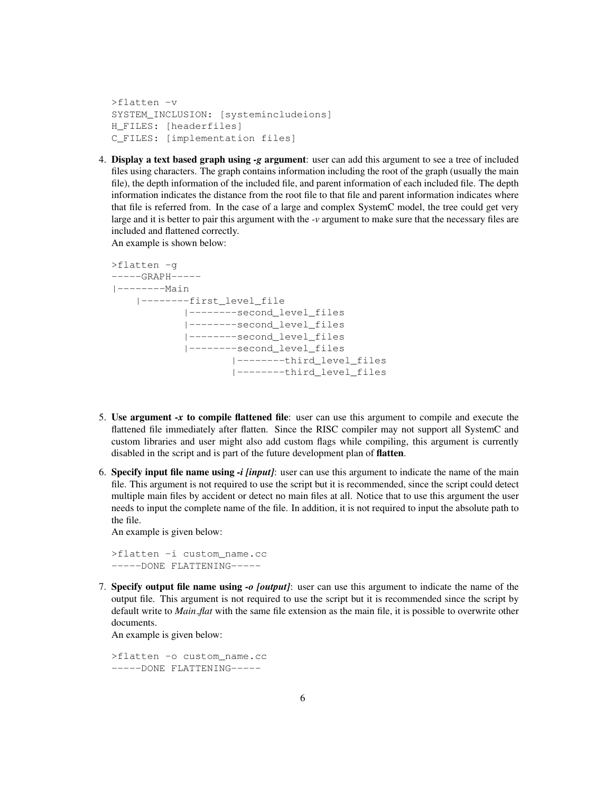```
>flatten -v
SYSTEM_INCLUSION: [systemincludeions]
H_FILES: [headerfiles]
C_FILES: [implementation files]
```
4. Display a text based graph using *-g* argument: user can add this argument to see a tree of included files using characters. The graph contains information including the root of the graph (usually the main file), the depth information of the included file, and parent information of each included file. The depth information indicates the distance from the root file to that file and parent information indicates where that file is referred from. In the case of a large and complex SystemC model, the tree could get very large and it is better to pair this argument with the *-v* argument to make sure that the necessary files are included and flattened correctly.

An example is shown below:

```
>flatten -g
-----GRAPH-----
|--------Main
    |--------first_level_file
            |--------second_level_files
            |--------second_level_files
            |--------second_level_files
            |--------second_level_files
                    |--------third_level_files
                    |--------third_level_files
```
- 5. Use argument *-x* to compile flattened file: user can use this argument to compile and execute the flattened file immediately after flatten. Since the RISC compiler may not support all SystemC and custom libraries and user might also add custom flags while compiling, this argument is currently disabled in the script and is part of the future development plan of flatten.
- 6. Specify input file name using *-i [input]*: user can use this argument to indicate the name of the main file. This argument is not required to use the script but it is recommended, since the script could detect multiple main files by accident or detect no main files at all. Notice that to use this argument the user needs to input the complete name of the file. In addition, it is not required to input the absolute path to the file.

An example is given below:

>flatten -i custom\_name.cc -----DONE FLATTENING-----

7. Specify output file name using *-o [output]*: user can use this argument to indicate the name of the output file. This argument is not required to use the script but it is recommended since the script by default write to *Main flat* with the same file extension as the main file, it is possible to overwrite other documents.

An example is given below:

>flatten -o custom\_name.cc -----DONE FLATTENING-----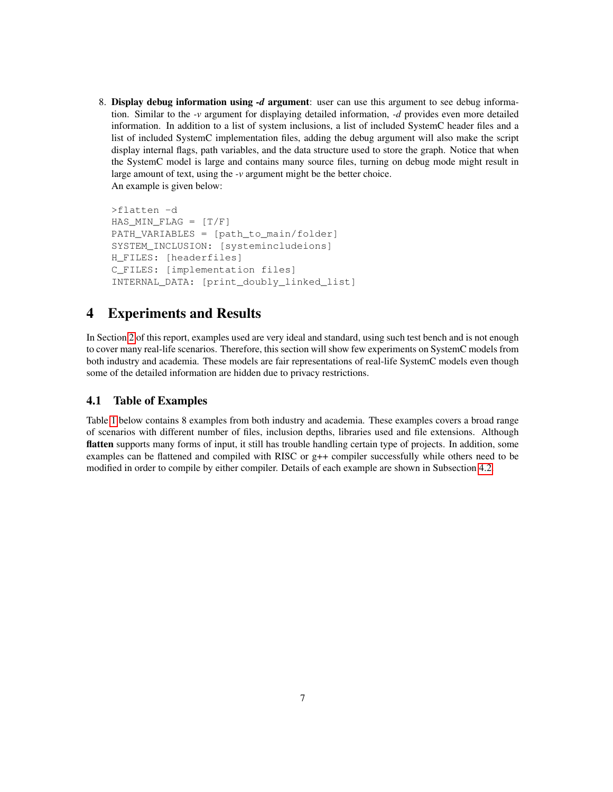8. Display debug information using *-d* argument: user can use this argument to see debug information. Similar to the *-v* argument for displaying detailed information, *-d* provides even more detailed information. In addition to a list of system inclusions, a list of included SystemC header files and a list of included SystemC implementation files, adding the debug argument will also make the script display internal flags, path variables, and the data structure used to store the graph. Notice that when the SystemC model is large and contains many source files, turning on debug mode might result in large amount of text, using the *-v* argument might be the better choice. An example is given below:

```
>flatten -d
HAS MIN<sub>FLAG</sub> = [T/F]PATH_VARIABLES = [path_to_main/folder]
SYSTEM_INCLUSION: [systemincludeions]
H_FILES: [headerfiles]
C_FILES: [implementation files]
INTERNAL_DATA: [print_doubly_linked_list]
```
# <span id="page-9-0"></span>4 Experiments and Results

In Section [2](#page-4-1) of this report, examples used are very ideal and standard, using such test bench and is not enough to cover many real-life scenarios. Therefore, this section will show few experiments on SystemC models from both industry and academia. These models are fair representations of real-life SystemC models even though some of the detailed information are hidden due to privacy restrictions.

## <span id="page-9-1"></span>4.1 Table of Examples

Table [1](#page-10-1) below contains 8 examples from both industry and academia. These examples covers a broad range of scenarios with different number of files, inclusion depths, libraries used and file extensions. Although flatten supports many forms of input, it still has trouble handling certain type of projects. In addition, some examples can be flattened and compiled with RISC or g++ compiler successfully while others need to be modified in order to compile by either compiler. Details of each example are shown in Subsection [4.2.](#page-10-0)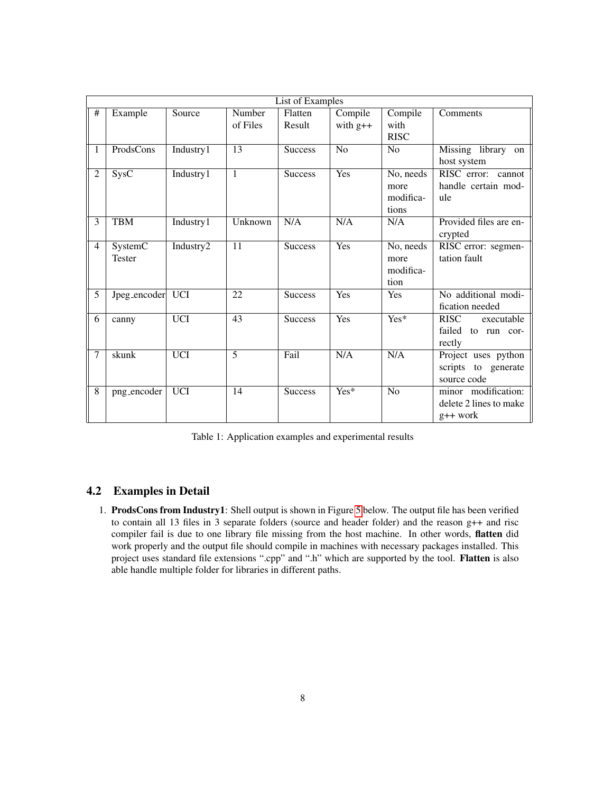| List of Examples |                          |            |                    |                   |                       |                                        |                                                             |  |  |
|------------------|--------------------------|------------|--------------------|-------------------|-----------------------|----------------------------------------|-------------------------------------------------------------|--|--|
| $\#$             | Example                  | Source     | Number<br>of Files | Flatten<br>Result | Compile<br>with $g++$ | Compile<br>with                        | Comments                                                    |  |  |
|                  |                          |            |                    |                   |                       | <b>RISC</b>                            |                                                             |  |  |
| $\mathbf{1}$     | ProdsCons                | Industry1  | $\overline{13}$    | <b>Success</b>    | $\overline{N}$        | N <sub>0</sub>                         | Missing library on<br>host system                           |  |  |
| $\overline{2}$   | SysC                     | Industry1  | 1                  | <b>Success</b>    | Yes                   | No, needs<br>more                      | RISC error: cannot<br>handle certain mod-                   |  |  |
|                  |                          |            |                    |                   |                       | modifica-<br>tions                     | ule                                                         |  |  |
| 3                | <b>TBM</b>               | Industry1  | Unknown            | N/A               | N/A                   | N/A                                    | Provided files are en-<br>crypted                           |  |  |
| $\overline{4}$   | SystemC<br><b>Tester</b> | Industry2  | 11                 | <b>Success</b>    | Yes                   | No, needs<br>more<br>modifica-<br>tion | RISC error: segmen-<br>tation fault                         |  |  |
| $\overline{5}$   | Jpeg_encoder UCI         |            | 22                 | <b>Success</b>    | Yes                   | Yes                                    | No additional modi-<br>fication needed                      |  |  |
| $\overline{6}$   | canny                    | <b>UCI</b> | 43                 | <b>Success</b>    | Yes                   | $\overline{Yes*}$                      | <b>RISC</b><br>executable<br>failed to run cor-<br>rectly   |  |  |
| 7                | skunk                    | <b>UCI</b> | 5                  | Fail              | N/A                   | N/A                                    | Project uses python<br>scripts to generate<br>source code   |  |  |
| 8                | png_encoder              | <b>UCI</b> | 14                 | <b>Success</b>    | $Yes*$                | No                                     | minor modification:<br>delete 2 lines to make<br>$g++$ work |  |  |

<span id="page-10-1"></span>Table 1: Application examples and experimental results

## <span id="page-10-0"></span>4.2 Examples in Detail

1. ProdsCons from Industry1: Shell output is shown in Figure [5](#page-11-0) below. The output file has been verified to contain all 13 files in 3 separate folders (source and header folder) and the reason g++ and risc compiler fail is due to one library file missing from the host machine. In other words, flatten did work properly and the output file should compile in machines with necessary packages installed. This project uses standard file extensions ".cpp" and ".h" which are supported by the tool. Flatten is also able handle multiple folder for libraries in different paths.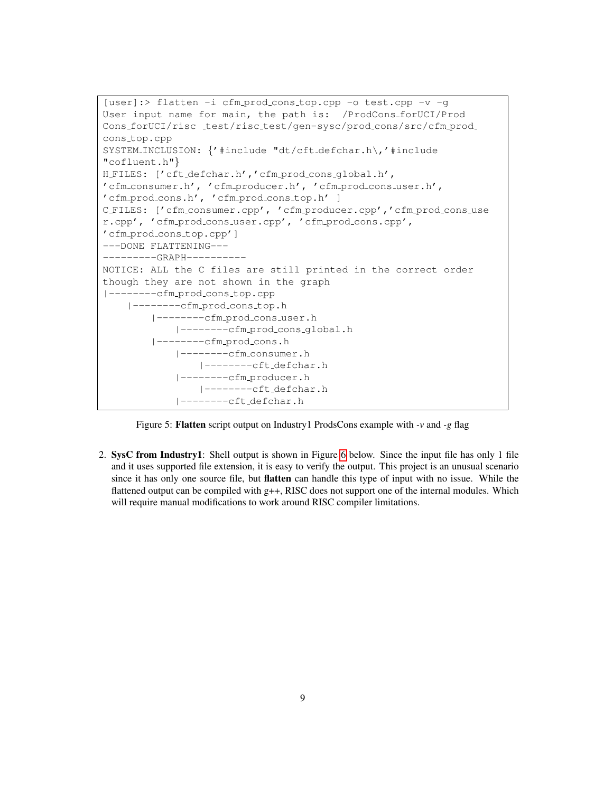```
[user]:> flatten -i cfm prod cons top.cpp -o test.cpp -v -g
User input name for main, the path is: /ProdCons forUCI/Prod
Cons_forUCI/risc _test/risc_test/gen-sysc/prod_cons/src/cfm_prod_
cons_top.cpp
SYSTEM INCLUSION: {'#include "dt/cft defchar.h\,'#include
"cofluent.h"}
H_FILES: ['cft_defchar.h','cfm_prod_cons_global.h',
'cfm consumer.h', 'cfm producer.h', 'cfm prod cons user.h',
'cfm prod cons.h', 'cfm prod cons top.h' ]
C FILES: ['cfm consumer.cpp', 'cfm producer.cpp','cfm prod cons use
r.cpp', 'cfm prod cons user.cpp', 'cfm prod cons.cpp',
'cfm prod cons top.cpp']
---DONE FLATTENING---
---------GRAPH----------
NOTICE: ALL the C files are still printed in the correct order
though they are not shown in the graph
|--------cfm prod cons top.cpp
   |--------cfm prod cons top.h
        |--------cfm prod cons user.h
            |--------cfm prod cons global.h
        |--------cfm prod cons.h
            |--------cfm consumer.h
                |--------cft defchar.h
            |--------cfm producer.h
                |--------cft defchar.h
            |--------cft defchar.h
```
<span id="page-11-0"></span>Figure 5: Flatten script output on Industry1 ProdsCons example with *-v* and *-g* flag

2. SysC from Industry1: Shell output is shown in Figure [6](#page-12-0) below. Since the input file has only 1 file and it uses supported file extension, it is easy to verify the output. This project is an unusual scenario since it has only one source file, but flatten can handle this type of input with no issue. While the flattened output can be compiled with g++, RISC does not support one of the internal modules. Which will require manual modifications to work around RISC compiler limitations.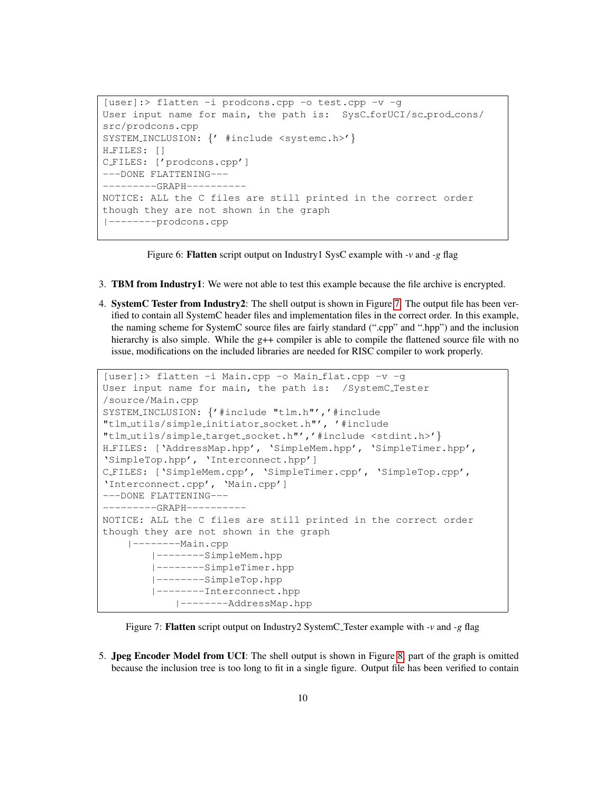```
[user]:> flatten -i prodcons.cpp -o test.cpp -v -g
User input name for main, the path is: SysC_forUCI/sc_prod_cons/
src/prodcons.cpp
SYSTEM_INCLUSION: {' #include <systemc.h>'}
H_FILES: []
C FILES: ['prodcons.cpp']
---DONE FLATTENING---
--------GRAPH----------
NOTICE: ALL the C files are still printed in the correct order
though they are not shown in the graph
|--------prodcons.cpp
```
<span id="page-12-0"></span>Figure 6: Flatten script output on Industry1 SysC example with *-v* and *-g* flag

- 3. TBM from Industry1: We were not able to test this example because the file archive is encrypted.
- 4. SystemC Tester from Industry2: The shell output is shown in Figure [7.](#page-12-1) The output file has been verified to contain all SystemC header files and implementation files in the correct order. In this example, the naming scheme for SystemC source files are fairly standard (".cpp" and ".hpp") and the inclusion hierarchy is also simple. While the g++ compiler is able to compile the flattened source file with no issue, modifications on the included libraries are needed for RISC compiler to work properly.

```
[user]:> flatten -i Main.cpp -o Main flat.cpp -v -g
User input name for main, the path is: /SystemC Tester
/source/Main.cpp
SYSTEM_INCLUSION: {'#include "tlm.h"','#include
"tlm utils/simple initiator socket.h"', '#include
"tlm utils/simple target socket.h"','#include <stdint.h>'}
H FILES: ['AddressMap.hpp', 'SimpleMem.hpp', 'SimpleTimer.hpp',
'SimpleTop.hpp', 'Interconnect.hpp']
C FILES: ['SimpleMem.cpp', 'SimpleTimer.cpp', 'SimpleTop.cpp',
'Interconnect.cpp', 'Main.cpp']
---DONE FLATTENING---
--------GRAPH----------
NOTICE: ALL the C files are still printed in the correct order
though they are not shown in the graph
    |--------Main.cpp
        |--------SimpleMem.hpp
        |--------SimpleTimer.hpp
        |--------SimpleTop.hpp
        |--------Interconnect.hpp
            |--------AddressMap.hpp
```
<span id="page-12-1"></span>Figure 7: Flatten script output on Industry2 SystemC Tester example with *-v* and *-g* flag

5. Jpeg Encoder Model from UCI: The shell output is shown in Figure [8,](#page-13-0) part of the graph is omitted because the inclusion tree is too long to fit in a single figure. Output file has been verified to contain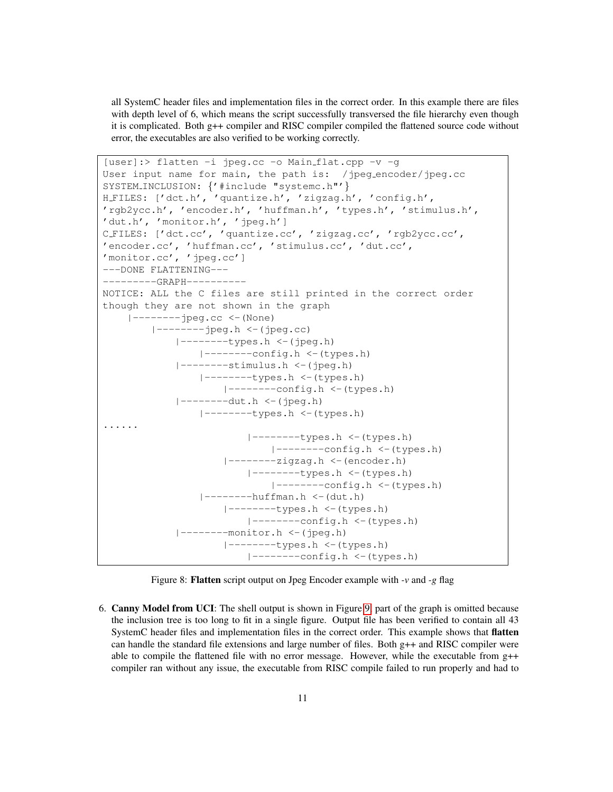all SystemC header files and implementation files in the correct order. In this example there are files with depth level of 6, which means the script successfully transversed the file hierarchy even though it is complicated. Both g++ compiler and RISC compiler compiled the flattened source code without error, the executables are also verified to be working correctly.

```
[user]:> flatten -i jpeg.cc -o Main flat.cpp -v -g
User input name for main, the path is: /jpeg_encoder/jpeg.cc
SYSTEM_INCLUSION: {'#include "systemc.h"'}
H FILES: ['dct.h', 'quantize.h', 'zigzag.h', 'config.h',
'rgb2ycc.h', 'encoder.h', 'huffman.h', 'types.h', 'stimulus.h',
'dut.h', 'monitor.h', 'jpeg.h']
C FILES: ['dct.cc', 'quantize.cc', 'zigzag.cc', 'rgb2ycc.cc',
'encoder.cc', 'huffman.cc', 'stimulus.cc', 'dut.cc',
'monitor.cc', 'jpeg.cc']
---DONE FLATTENING---
---------GRAPH----------
NOTICE: ALL the C files are still printed in the correct order
though they are not shown in the graph
    |--------jpeg.cc <-(None)
        |--------jpeg.h <-(jpeg.cc)
            |--------types.h <-(jpeg.h)
                |--------config.h <-(types.h)
            |--------stimulus.h <-(jpeg.h)
                |--------types.h <-(types.h)
                   |--------config.h <-(types.h)
            |--------dut.h <-(jpeg.h)
                |--------types.h <-(types.h)
......
                        |--------types.h <-(types.h)
                           |--------config.h <-(types.h)
                    |--------zigzag.h <-(encoder.h)
                        |--------types.h <-(types.h)
                            |-----contig.h < (types.h)|--------huffman.h <-(dut.h)
                    |--------types.h <-(types.h)
                       |--------config.h <-(types.h)
             ---------monitor.h <-(jpeg.h)
                    |--------types.h <-(types.h)
                        |--------config.h <-(types.h)
```
<span id="page-13-0"></span>Figure 8: Flatten script output on Jpeg Encoder example with *-v* and *-g* flag

6. Canny Model from UCI: The shell output is shown in Figure [9,](#page-14-0) part of the graph is omitted because the inclusion tree is too long to fit in a single figure. Output file has been verified to contain all 43 SystemC header files and implementation files in the correct order. This example shows that flatten can handle the standard file extensions and large number of files. Both  $g++$  and RISC compiler were able to compile the flattened file with no error message. However, while the executable from g++ compiler ran without any issue, the executable from RISC compile failed to run properly and had to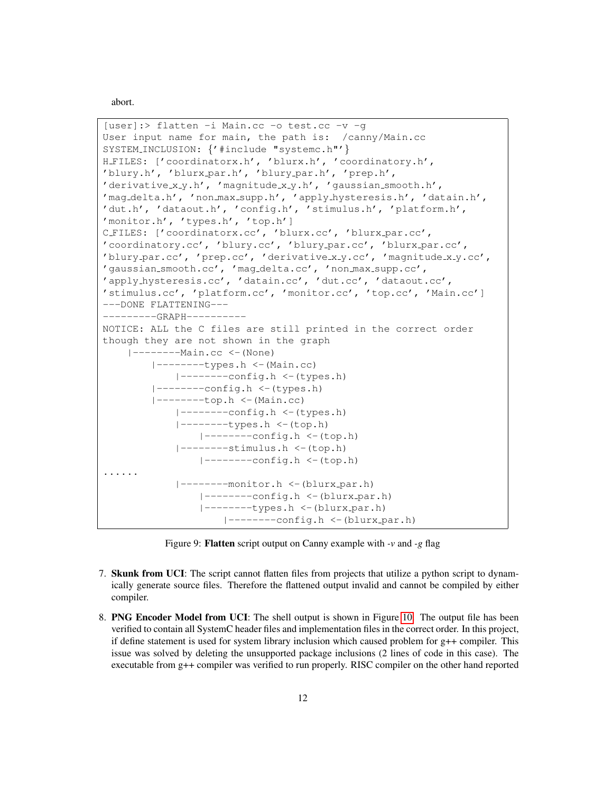abort.

```
[user]:> flatten -i Main.cc -o test.cc -v -g
User input name for main, the path is: /canny/Main.cc
SYSTEM_INCLUSION: {'#include "systemc.h"'}
H FILES: ['coordinatorx.h', 'blurx.h', 'coordinatory.h',
'blury.h', 'blurx par.h', 'blury par.h', 'prep.h',
'derivative_x_y.h', 'magnitude_x_y.h', 'gaussian_smooth.h',
'mag delta.h', 'non max supp.h', 'apply hysteresis.h', 'datain.h',
'dut.h', 'dataout.h', 'config.h', 'stimulus.h', 'platform.h',
'monitor.h', 'types.h', 'top.h']
C_FILES: ['coordinatorx.cc', 'blurx.cc', 'blurx_par.cc',
'coordinatory.cc', 'blury.cc', 'blury par.cc', 'blurx par.cc',
'blury par.cc', 'prep.cc', 'derivative x y.cc', 'magnitude x y.cc',
'gaussian smooth.cc', 'mag delta.cc', 'non max supp.cc',
'apply hysteresis.cc', 'datain.cc', 'dut.cc', 'dataout.cc',
'stimulus.cc', 'platform.cc', 'monitor.cc', 'top.cc', 'Main.cc']
---DONE FLATTENING---
--------GRAPH----------
NOTICE: ALL the C files are still printed in the correct order
though they are not shown in the graph
    |--------Main.cc <-(None)
        |--------types.h <-(Main.cc)
            |--------config.h <-(types.h)
        |--------config.h <-(types.h)
        |--------top.h <-(Main.cc)
            |--------config.h <-(types.h)
            |--------types.h <-(top.h)
                |--------config.h <-(top.h)
            |-----stimulus.h < -(top.h)|--------config.h <-(top.h)
 ......
            |--------monitor.h <-(blurx par.h)
                |-----contiq.h < -(blurx-par.h)|-----types.h \leftarrow (blurx-par.h)|-----confiq.h \leftarrow (blurx-par.h)
```
<span id="page-14-0"></span>Figure 9: Flatten script output on Canny example with *-v* and *-g* flag

- 7. Skunk from UCI: The script cannot flatten files from projects that utilize a python script to dynamically generate source files. Therefore the flattened output invalid and cannot be compiled by either compiler.
- 8. PNG Encoder Model from UCI: The shell output is shown in Figure [10.](#page-15-1) The output file has been verified to contain all SystemC header files and implementation files in the correct order. In this project, if define statement is used for system library inclusion which caused problem for g++ compiler. This issue was solved by deleting the unsupported package inclusions (2 lines of code in this case). The executable from g++ compiler was verified to run properly. RISC compiler on the other hand reported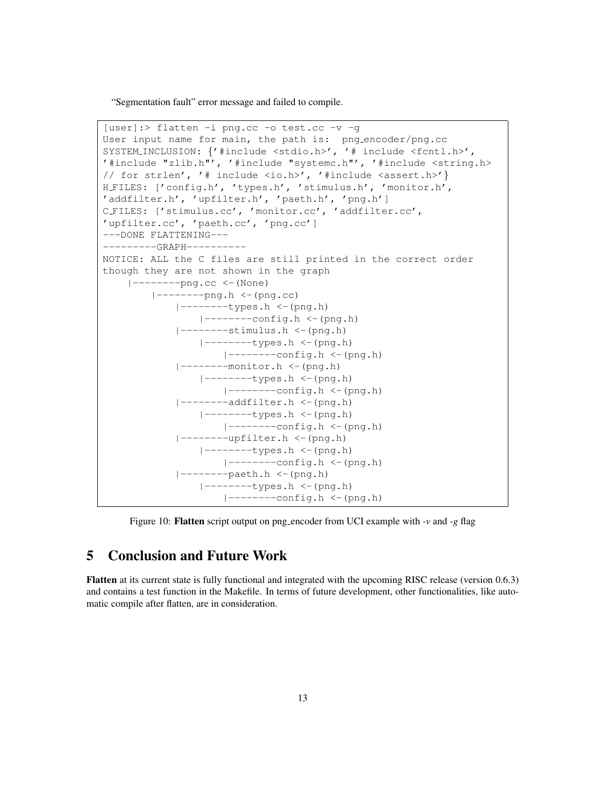"Segmentation fault" error message and failed to compile.

```
[user]:> flatten -i png.cc -o test.cc -v -g
User input name for main, the path is: png encoder/png.cc
SYSTEM_INCLUSION: {'#include <stdio.h>', '# include <fcntl.h>',
'#include "zlib.h"', '#include "systemc.h"', '#include <string.h>
// for strlen', '# include <io.h>', '#include <assert.h>'}
H FILES: ['config.h', 'types.h', 'stimulus.h', 'monitor.h',
'addfilter.h', 'upfilter.h', 'paeth.h', 'png.h']
C FILES: ['stimulus.cc', 'monitor.cc', 'addfilter.cc',
'upfilter.cc', 'paeth.cc', 'png.cc']
---DONE FLATTENING---
---------GRAPH----------
NOTICE: ALL the C files are still printed in the correct order
though they are not shown in the graph
    |-----png.cc \leftarrow (None)
        |-----png.h \leftarrow (png.cc)
            |--------types.h <-(png.h)
               |--------config.h <-(png.h)
            |--------stimulus.h <-(png.h)
                |--------types.h <-(png.h)
                    |--------config.h <-(png.h)
            |--------monitor.h <-(png.h)
                |--------types.h <-(png.h)
                   |--------config.h <-(png.h)
            |--------addfilter.h <-(png.h)
                |-----t ypes.h \leftarrow (png.h)
                    |-----contiq.h < (png.h)|-----upfilter.h \leftarrow (png.h)
                |-----types.h <-(png.h)
                    |-----confiq.h < (png.h)|--------paeth.h <-(png.h)
                |--------types.h <-(png.h)
                    |-----contig.h < (png.h)
```
<span id="page-15-1"></span>Figure 10: Flatten script output on png encoder from UCI example with *-v* and *-g* flag

# <span id="page-15-0"></span>5 Conclusion and Future Work

Flatten at its current state is fully functional and integrated with the upcoming RISC release (version 0.6.3) and contains a test function in the Makefile. In terms of future development, other functionalities, like automatic compile after flatten, are in consideration.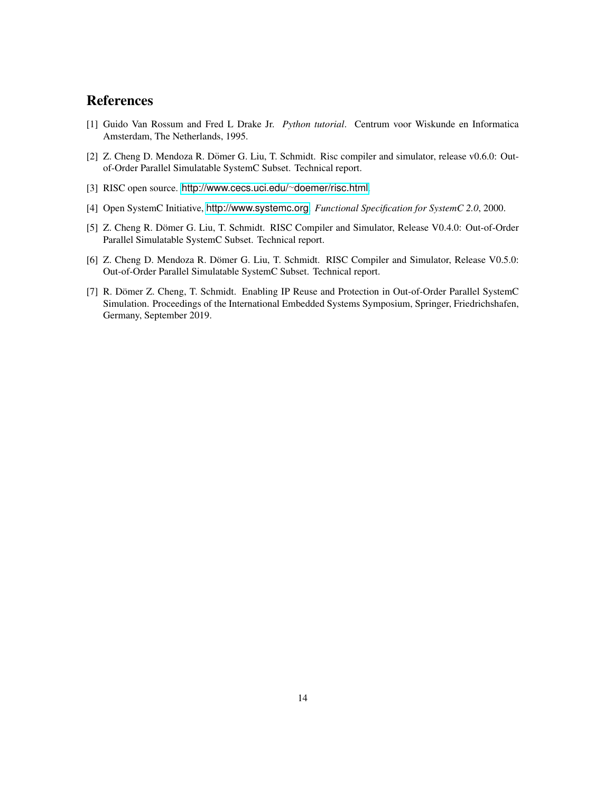# <span id="page-16-0"></span>References

- <span id="page-16-1"></span>[1] Guido Van Rossum and Fred L Drake Jr. *Python tutorial*. Centrum voor Wiskunde en Informatica Amsterdam, The Netherlands, 1995.
- <span id="page-16-2"></span>[2] Z. Cheng D. Mendoza R. Dömer G. Liu, T. Schmidt. Risc compiler and simulator, release v0.6.0: Outof-Order Parallel Simulatable SystemC Subset. Technical report.
- <span id="page-16-3"></span>[3] RISC open source. [http://www.cecs.uci.edu/](http://www.cecs.uci.edu/~doemer/risc.html)∼doemer/risc.html.
- <span id="page-16-4"></span>[4] Open SystemC Initiative, <http://www.systemc.org>. *Functional Specification for SystemC 2.0*, 2000.
- <span id="page-16-5"></span>[5] Z. Cheng R. Dömer G. Liu, T. Schmidt. RISC Compiler and Simulator, Release V0.4.0: Out-of-Order Parallel Simulatable SystemC Subset. Technical report.
- <span id="page-16-6"></span>[6] Z. Cheng D. Mendoza R. Dömer G. Liu, T. Schmidt. RISC Compiler and Simulator, Release V0.5.0: Out-of-Order Parallel Simulatable SystemC Subset. Technical report.
- <span id="page-16-7"></span>[7] R. Dömer Z. Cheng, T. Schmidt. Enabling IP Reuse and Protection in Out-of-Order Parallel SystemC Simulation. Proceedings of the International Embedded Systems Symposium, Springer, Friedrichshafen, Germany, September 2019.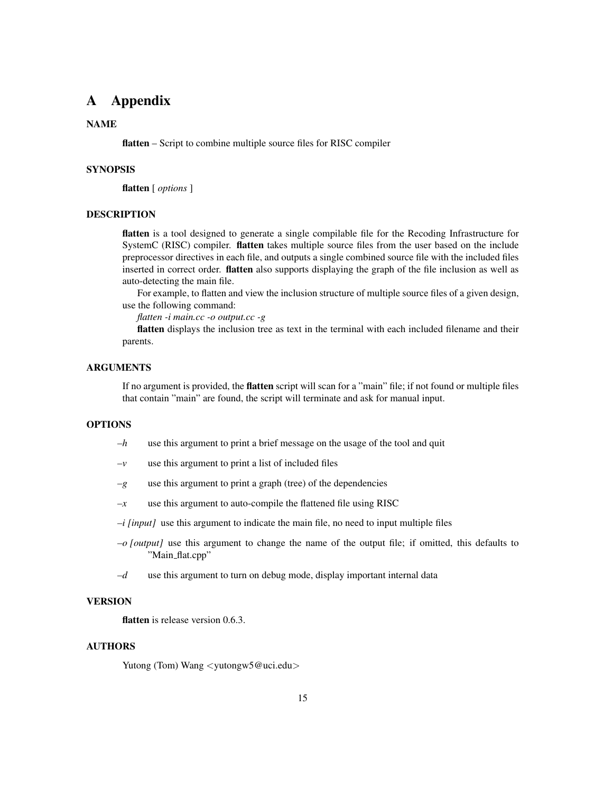# <span id="page-17-0"></span>A Appendix

#### NAME

flatten – Script to combine multiple source files for RISC compiler

#### **SYNOPSIS**

flatten [ *options* ]

## DESCRIPTION

flatten is a tool designed to generate a single compilable file for the Recoding Infrastructure for SystemC (RISC) compiler. flatten takes multiple source files from the user based on the include preprocessor directives in each file, and outputs a single combined source file with the included files inserted in correct order. flatten also supports displaying the graph of the file inclusion as well as auto-detecting the main file.

For example, to flatten and view the inclusion structure of multiple source files of a given design, use the following command:

*flatten -i main.cc -o output.cc -g*

flatten displays the inclusion tree as text in the terminal with each included filename and their parents.

#### ARGUMENTS

If no argument is provided, the flatten script will scan for a "main" file; if not found or multiple files that contain "main" are found, the script will terminate and ask for manual input.

### OPTIONS

- *–h* use this argument to print a brief message on the usage of the tool and quit
- $-v$  use this argument to print a list of included files
- *–g* use this argument to print a graph (tree) of the dependencies
- $-x$  use this argument to auto-compile the flattened file using RISC
- *–i [input]* use this argument to indicate the main file, no need to input multiple files
- *–o [output]* use this argument to change the name of the output file; if omitted, this defaults to "Main\_flat.cpp"
- *–d* use this argument to turn on debug mode, display important internal data

#### VERSION

flatten is release version 0.6.3.

#### AUTHORS

Yutong (Tom) Wang <yutongw5@uci.edu>